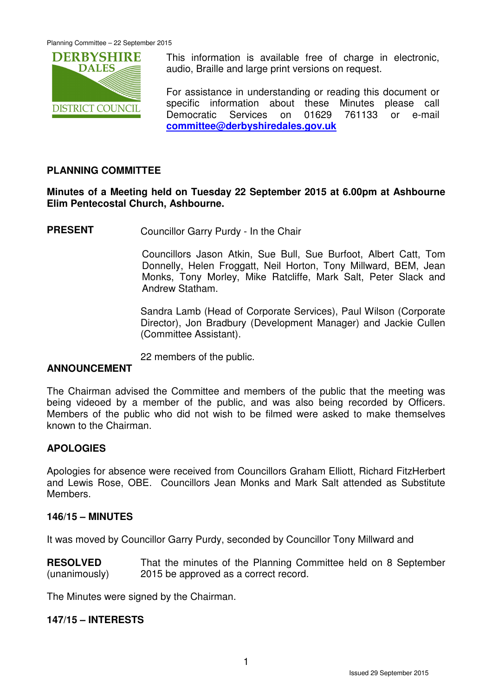

This information is available free of charge in electronic, audio, Braille and large print versions on request.

For assistance in understanding or reading this document or specific information about these Minutes please call Democratic Services on 01629 761133 or e-mail **committee@derbyshiredales.gov.uk**

## **PLANNING COMMITTEE**

## **Minutes of a Meeting held on Tuesday 22 September 2015 at 6.00pm at Ashbourne Elim Pentecostal Church, Ashbourne.**

**PRESENT** Councillor Garry Purdy - In the Chair

 Councillors Jason Atkin, Sue Bull, Sue Burfoot, Albert Catt, Tom Donnelly, Helen Froggatt, Neil Horton, Tony Millward, BEM, Jean Monks, Tony Morley, Mike Ratcliffe, Mark Salt, Peter Slack and Andrew Statham.

Sandra Lamb (Head of Corporate Services), Paul Wilson (Corporate Director), Jon Bradbury (Development Manager) and Jackie Cullen (Committee Assistant).

22 members of the public.

# **ANNOUNCEMENT**

The Chairman advised the Committee and members of the public that the meeting was being videoed by a member of the public, and was also being recorded by Officers. Members of the public who did not wish to be filmed were asked to make themselves known to the Chairman.

## **APOLOGIES**

Apologies for absence were received from Councillors Graham Elliott, Richard FitzHerbert and Lewis Rose, OBE. Councillors Jean Monks and Mark Salt attended as Substitute Members.

#### **146/15 – MINUTES**

It was moved by Councillor Garry Purdy, seconded by Councillor Tony Millward and

**RESOLVED** (unanimously) That the minutes of the Planning Committee held on 8 September 2015 be approved as a correct record.

The Minutes were signed by the Chairman.

## **147/15 – INTERESTS**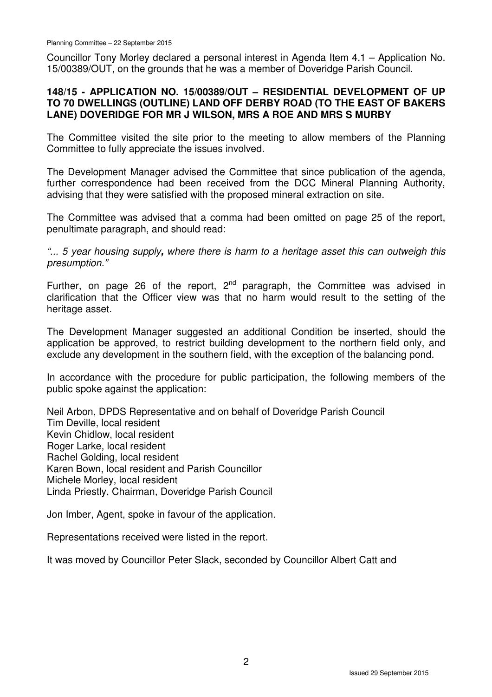Councillor Tony Morley declared a personal interest in Agenda Item 4.1 – Application No. 15/00389/OUT, on the grounds that he was a member of Doveridge Parish Council.

## **148/15 - APPLICATION NO. 15/00389/OUT – RESIDENTIAL DEVELOPMENT OF UP TO 70 DWELLINGS (OUTLINE) LAND OFF DERBY ROAD (TO THE EAST OF BAKERS LANE) DOVERIDGE FOR MR J WILSON, MRS A ROE AND MRS S MURBY**

The Committee visited the site prior to the meeting to allow members of the Planning Committee to fully appreciate the issues involved.

The Development Manager advised the Committee that since publication of the agenda, further correspondence had been received from the DCC Mineral Planning Authority, advising that they were satisfied with the proposed mineral extraction on site.

The Committee was advised that a comma had been omitted on page 25 of the report, penultimate paragraph, and should read:

"... 5 year housing supply**,** where there is harm to a heritage asset this can outweigh this presumption."

Further, on page 26 of the report,  $2^{nd}$  paragraph, the Committee was advised in clarification that the Officer view was that no harm would result to the setting of the heritage asset.

The Development Manager suggested an additional Condition be inserted, should the application be approved, to restrict building development to the northern field only, and exclude any development in the southern field, with the exception of the balancing pond.

In accordance with the procedure for public participation, the following members of the public spoke against the application:

Neil Arbon, DPDS Representative and on behalf of Doveridge Parish Council Tim Deville, local resident Kevin Chidlow, local resident Roger Larke, local resident Rachel Golding, local resident Karen Bown, local resident and Parish Councillor Michele Morley, local resident Linda Priestly, Chairman, Doveridge Parish Council

Jon Imber, Agent, spoke in favour of the application.

Representations received were listed in the report.

It was moved by Councillor Peter Slack, seconded by Councillor Albert Catt and